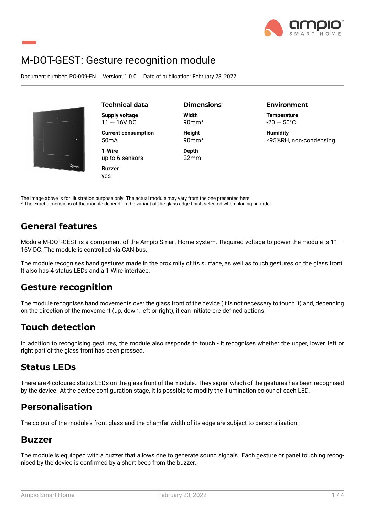

# M-DOT-GEST: Gesture recognition module

Document number: PO-009-EN Version: 1.0.0 Date of publication: February 23, 2022



**Technical data Supply voltage**  $11 - 16V$  DC **Current consumption** 50mA

**1-Wire** up to 6 sensors

**Buzzer** yes

**Dimensions Width** 90mm\*

**Height** 90mm\*

**Depth** 22mm **Environment**

**Temperature**  $-20 - 50^{\circ}$ C

**Humidity** ≤95%RH, non-condensing

The image above is for illustration purpose only. The actual module may vary from the one presented here. \* The exact dimensions of the module depend on the variant of the glass edge finish selected when placing an order.

### **General features**

Module M-DOT-GEST is a component of the Ampio Smart Home system. Required voltage to power the module is 11 -16V DC. The module is controlled via CAN bus.

The module recognises hand gestures made in the proximity of its surface, as well as touch gestures on the glass front. It also has 4 status LEDs and a 1-Wire interface.

### **Gesture recognition**

The module recognises hand movements over the glass front of the device (it is not necessary to touch it) and, depending on the direction of the movement (up, down, left or right), it can initiate pre-defined actions.

### **Touch detection**

In addition to recognising gestures, the module also responds to touch - it recognises whether the upper, lower, left or right part of the glass front has been pressed.

### **Status LEDs**

There are 4 coloured status LEDs on the glass front of the module. They signal which of the gestures has been recognised by the device. At the device configuration stage, it is possible to modify the illumination colour of each LED.

#### **Personalisation**

The colour of the module's front glass and the chamfer width of its edge are subject to personalisation.

#### **Buzzer**

The module is equipped with a buzzer that allows one to generate sound signals. Each gesture or panel touching recognised by the device is confirmed by a short beep from the buzzer.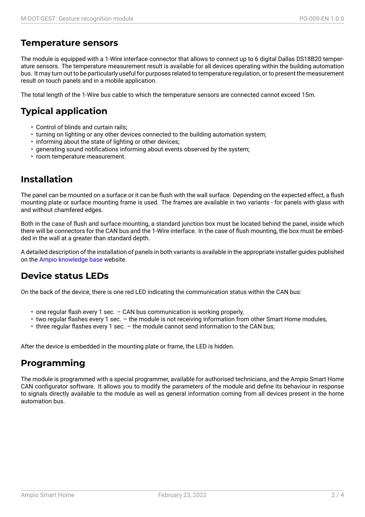### **Temperature sensors**

The module is equipped with a 1-Wire interface connector that allows to connect up to 6 digital Dallas DS18B20 temperature sensors. The temperature measurement result is available for all devices operating within the building automation bus. It may turn out to be particularly useful for purposes related to temperature regulation, or to present the measurement result on touch panels and in a mobile application.

The total length of the 1-Wire bus cable to which the temperature sensors are connected cannot exceed 15m.

## **Typical application**

- Control of blinds and curtain rails;
- turning on lighting or any other devices connected to the building automation system;
- informing about the state of lighting or other devices;
- generating sound notifications informing about events observed by the system;
- room temperature measurement.

#### **Installation**

The panel can be mounted on a surface or it can be flush with the wall surface. Depending on the expected effect, a flush mounting plate or surface mounting frame is used. The frames are available in two variants - for panels with glass with and without chamfered edges.

Both in the case of flush and surface mounting, a standard junction box must be located behind the panel, inside which there will be connectors for the CAN bus and the 1-Wire interface. In the case of flush mounting, the box must be embedded in the wall at a greater than standard depth.

A detailed description of the installation of panels in both variants is available in the appropriate installer guides published on the Ampio knowledge base website.

### **Device status LEDs**

On the [back of the device, ther](https://help.ampio.com)e is one red LED indicating the communication status within the CAN bus:

- one regular flash every 1 sec. CAN bus communication is working properly,
- two regular flashes every 1 sec. the module is not receiving information from other Smart Home modules,
- three regular flashes every 1 sec. the module cannot send information to the CAN bus;

After the device is embedded in the mounting plate or frame, the LED is hidden.

### **Programming**

The module is programmed with a special programmer, available for authorised technicians, and the Ampio Smart Home CAN configurator software. It allows you to modify the parameters of the module and define its behaviour in response to signals directly available to the module as well as general information coming from all devices present in the home automation bus.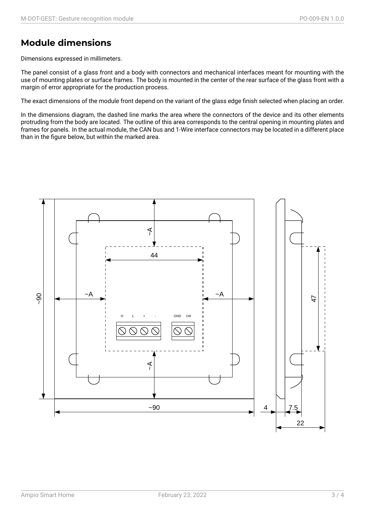### **Module dimensions**

Dimensions expressed in millimeters.

The panel consist of a glass front and a body with connectors and mechanical interfaces meant for mounting with the use of mounting plates or surface frames. The body is mounted in the center of the rear surface of the glass front with a margin of error appropriate for the production process.

The exact dimensions of the module front depend on the variant of the glass edge finish selected when placing an order.

In the dimensions diagram, the dashed line marks the area where the connectors of the device and its other elements protruding from the body are located. The outline of this area corresponds to the central opening in mounting plates and frames for panels. In the actual module, the CAN bus and 1-Wire interface connectors may be located in a different place than in the figure below, but within the marked area.